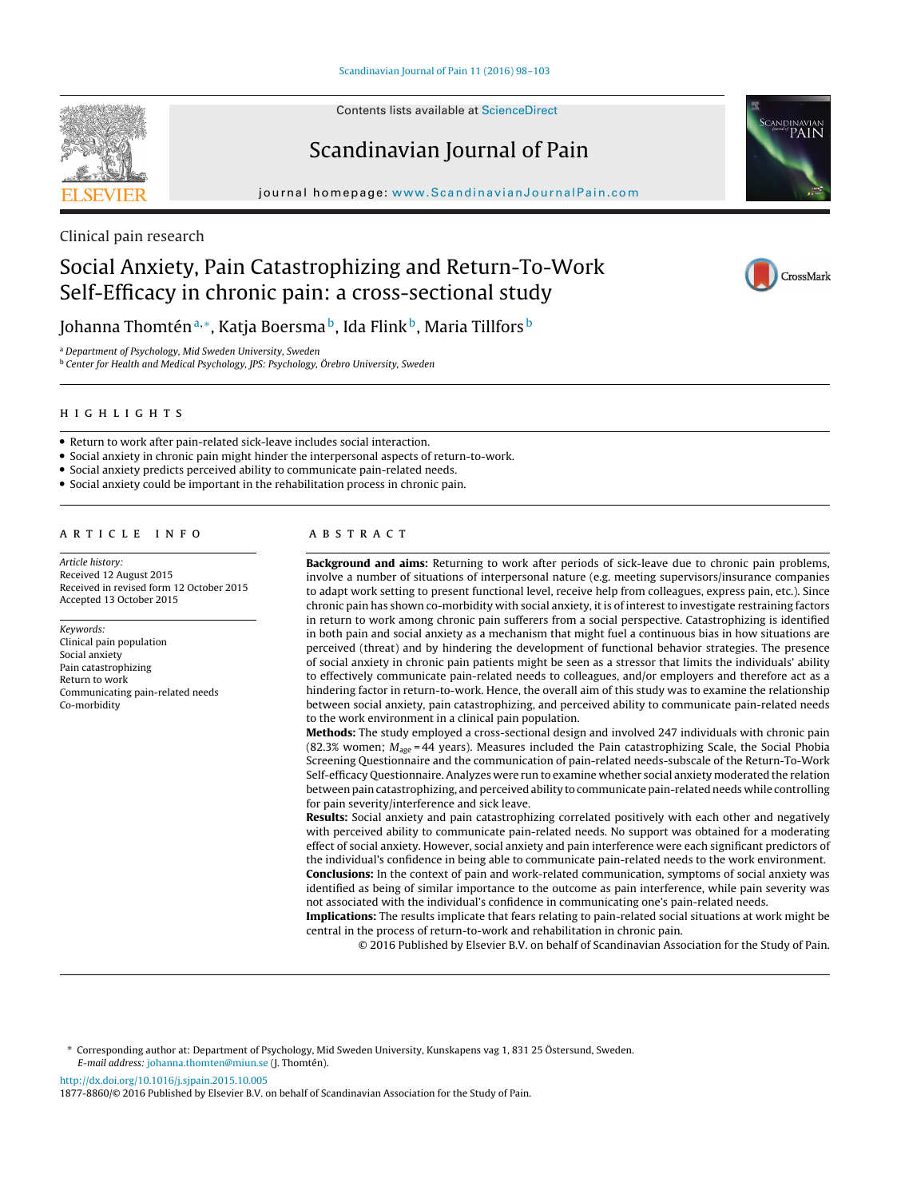**SEVIE** 

Contents lists available at [ScienceDirect](http://www.sciencedirect.com/science/journal/18778860)

# Scandinavian Journal of Pain

journal homepage: <www.ScandinavianJournalPain.com>



# Clinical pain research

# Social Anxiety, Pain Catastrophizing and Return-To-Work Self-Efficacy in chronic pain: a cross-sectional study

CrossMark

Johanna Thomtén<sup>a,∗</sup>, Katja Boersma<sup>b</sup>, Ida Flink<sup>b</sup>, Maria Tillfors<sup>b</sup>

<sup>a</sup> Department of Psychology, Mid Sweden University, Sweden

<sup>b</sup> Center for Health and Medical Psychology, JPS: Psychology, Örebro University, Sweden

# **HIGHLIGHTS**

- Return to work after pain-related sick-leave includes social interaction.
- Social anxiety in chronic pain might hinder the interpersonal aspects of return-to-work.
- Social anxiety predicts perceived ability to communicate pain-related needs.
- Social anxiety could be important in the rehabilitation process in chronic pain.

# ARTICLE INFO

Article history: Received 12 August 2015 Received in revised form 12 October 2015 Accepted 13 October 2015

Keywords: Clinical pain population Social anxiety Pain catastrophizing Return to work Communicating pain-related needs Co-morbidity

### ARSTRACT

**Background and aims:** Returning to work after periods of sick-leave due to chronic pain problems, involve a number of situations of interpersonal nature (e.g. meeting supervisors/insurance companies to adapt work setting to present functional level, receive help from colleagues, express pain, etc.). Since chronic pain has shown co-morbidity with social anxiety, it is of interest to investigate restraining factors in return to work among chronic pain sufferers from a social perspective. Catastrophizing is identified in both pain and social anxiety as a mechanism that might fuel a continuous bias in how situations are perceived (threat) and by hindering the development of functional behavior strategies. The presence of social anxiety in chronic pain patients might be seen as a stressor that limits the individuals' ability to effectively communicate pain-related needs to colleagues, and/or employers and therefore act as a hindering factor in return-to-work. Hence, the overall aim of this study was to examine the relationship between social anxiety, pain catastrophizing, and perceived ability to communicate pain-related needs to the work environment in a clinical pain population.

**Methods:** The study employed a cross-sectional design and involved 247 individuals with chronic pain (82.3% women;  $M_{\text{age}} = 44$  years). Measures included the Pain catastrophizing Scale, the Social Phobia Screening Questionnaire and the communication of pain-related needs-subscale of the Return-To-Work Self-efficacy Questionnaire. Analyzes were run to examine whether social anxiety moderated the relation between pain catastrophizing, and perceived ability to communicate pain-related needs while controlling for pain severity/interference and sick leave.

**Results:** Social anxiety and pain catastrophizing correlated positively with each other and negatively with perceived ability to communicate pain-related needs. No support was obtained for a moderating effect of social anxiety. However, social anxiety and pain interference were each significant predictors of the individual's confidence in being able to communicate pain-related needs to the work environment. **Conclusions:** In the context of pain and work-related communication, symptoms of social anxiety was

identified as being of similar importance to the outcome as pain interference, while pain severity was not associated with the individual's confidence in communicating one's pain-related needs.

**Implications:** The results implicate that fears relating to pain-related social situations at work might be central in the process of return-to-work and rehabilitation in chronic pain.

© 2016 Published by Elsevier B.V. on behalf of Scandinavian Association for the Study of Pain.

∗ Corresponding author at: Department of Psychology, Mid Sweden University, Kunskapens vag 1, 831 25 Östersund, Sweden. E-mail address: [johanna.thomten@miun.se](mailto:johanna.thomten@unhbox voidb@x {special {ps:47 TD$DIFF}}miun.se) (J. Thomtén).

[http://dx.doi.org/10.1016/j.sjpain.2015.10.005](dx.doi.org/10.1016/j.sjpain.2015.10.005)

1877-8860/© 2016 Published by Elsevier B.V. on behalf of Scandinavian Association for the Study of Pain.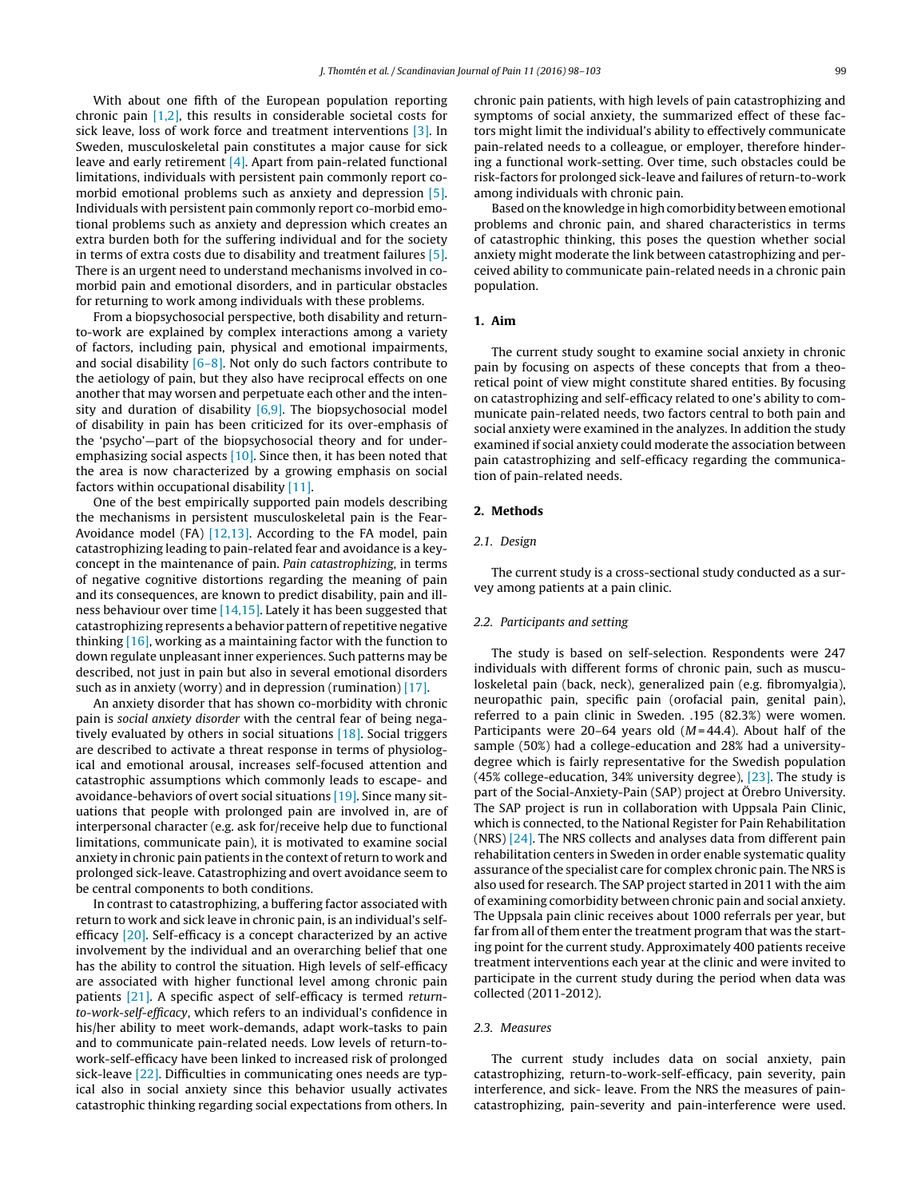With about one fifth of the European population reporting chronic pain [\[1,2\],](#page-5-0) this results in considerable societal costs for sick leave, loss of work force and treatment interventions [\[3\].](#page-5-0) In Sweden, musculoskeletal pain constitutes a major cause for sick leave and early retirement [\[4\].](#page-5-0) Apart from pain-related functional limitations, individuals with persistent pain commonly report comorbid emotional problems such as anxiety and depression [\[5\].](#page-5-0) Individuals with persistent pain commonly report co-morbid emotional problems such as anxiety and depression which creates an extra burden both for the suffering individual and for the society in terms of extra costs due to disability and treatment failures [\[5\].](#page-5-0) There is an urgent need to understand mechanisms involved in comorbid pain and emotional disorders, and in particular obstacles for returning to work among individuals with these problems.

From a biopsychosocial perspective, both disability and returnto-work are explained by complex interactions among a variety of factors, including pain, physical and emotional impairments, and social disability  $[6-8]$ . Not only do such factors contribute to the aetiology of pain, but they also have reciprocal effects on one another that may worsen and perpetuate each other and the intensity and duration of disability  $[6,9]$ . The biopsychosocial model of disability in pain has been criticized for its over-emphasis of the 'psycho'—part of the biopsychosocial theory and for underemphasizing social aspects  $[10]$ . Since then, it has been noted that the area is now characterized by a growing emphasis on social factors within occupational disability [\[11\].](#page-5-0)

One of the best empirically supported pain models describing the mechanisms in persistent musculoskeletal pain is the Fear-Avoidance model (FA) [\[12,13\].](#page-5-0) According to the FA model, pain catastrophizing leading to pain-related fear and avoidance is a keyconcept in the maintenance of pain. Pain catastrophizing, in terms of negative cognitive distortions regarding the meaning of pain and its consequences, are known to predict disability, pain and illness behaviour over time [\[14,15\].](#page-5-0) Lately it has been suggested that catastrophizing represents a behavior pattern of repetitive negative thinking [\[16\],](#page-5-0) working as a maintaining factor with the function to down regulate unpleasant inner experiences. Such patterns may be described, not just in pain but also in several emotional disorders such as in anxiety (worry) and in depression (rumination) [\[17\].](#page-5-0)

An anxiety disorder that has shown co-morbidity with chronic pain is social anxiety disorder with the central fear of being negatively evaluated by others in social situations [\[18\].](#page-5-0) Social triggers are described to activate a threat response in terms of physiological and emotional arousal, increases self-focused attention and catastrophic assumptions which commonly leads to escape- and avoidance-behaviors of overt social situations [\[19\].](#page-5-0) Since many situations that people with prolonged pain are involved in, are of interpersonal character (e.g. ask for/receive help due to functional limitations, communicate pain), it is motivated to examine social anxiety in chronic pain patients in the context of return to work and prolonged sick-leave. Catastrophizing and overt avoidance seem to be central components to both conditions.

In contrast to catastrophizing, a buffering factor associated with return to work and sick leave in chronic pain, is an individual's selfefficacy [\[20\].](#page-5-0) Self-efficacy is a concept characterized by an active involvement by the individual and an overarching belief that one has the ability to control the situation. High levels of self-efficacy are associated with higher functional level among chronic pain patients [\[21\].](#page-5-0) A specific aspect of self-efficacy is termed returnto-work-self-efficacy, which refers to an individual's confidence in his/her ability to meet work-demands, adapt work-tasks to pain and to communicate pain-related needs. Low levels of return-towork-self-efficacy have been linked to increased risk of prolonged sick-leave [\[22\].](#page-5-0) Difficulties in communicating ones needs are typical also in social anxiety since this behavior usually activates catastrophic thinking regarding social expectations from others. In chronic pain patients, with high levels of pain catastrophizing and symptoms of social anxiety, the summarized effect of these factors might limit the individual's ability to effectively communicate pain-related needs to a colleague, or employer, therefore hindering a functional work-setting. Over time, such obstacles could be risk-factors for prolonged sick-leave and failures of return-to-work among individuals with chronic pain.

Based on the knowledge in high comorbidity between emotional problems and chronic pain, and shared characteristics in terms of catastrophic thinking, this poses the question whether social anxiety might moderate the link between catastrophizing and perceived ability to communicate pain-related needs in a chronic pain population.

## **1. Aim**

The current study sought to examine social anxiety in chronic pain by focusing on aspects of these concepts that from a theoretical point of view might constitute shared entities. By focusing on catastrophizing and self-efficacy related to one's ability to communicate pain-related needs, two factors central to both pain and social anxiety were examined in the analyzes. In addition the study examined if social anxiety could moderate the association between pain catastrophizing and self-efficacy regarding the communication of pain-related needs.

#### **2. Methods**

#### 2.1. Design

The current study is a cross-sectional study conducted as a survey among patients at a pain clinic.

#### 2.2. Participants and setting

The study is based on self-selection. Respondents were 247 individuals with different forms of chronic pain, such as musculoskeletal pain (back, neck), generalized pain (e.g. fibromyalgia), neuropathic pain, specific pain (orofacial pain, genital pain), referred to a pain clinic in Sweden. .195 (82.3%) were women. Participants were 20–64 years old  $(M = 44.4)$ . About half of the sample (50%) had a college-education and 28% had a universitydegree which is fairly representative for the Swedish population (45% college-education, 34% university degree), [\[23\].](#page-5-0) The study is part of the Social-Anxiety-Pain (SAP) project at Örebro University. The SAP project is run in collaboration with Uppsala Pain Clinic, which is connected, to the National Register for Pain Rehabilitation (NRS) [\[24\].](#page-5-0) The NRS collects and analyses data from different pain rehabilitation centers in Sweden in order enable systematic quality assurance of the specialist care for complex chronic pain. The NRS is also used for research. The SAP project started in 2011 with the aim of examining comorbidity between chronic pain and social anxiety. The Uppsala pain clinic receives about 1000 referrals per year, but far from all of them enter the treatment program that was the starting point for the current study. Approximately 400 patients receive treatment interventions each year at the clinic and were invited to participate in the current study during the period when data was collected (2011-2012).

#### 2.3. Measures

The current study includes data on social anxiety, pain catastrophizing, return-to-work-self-efficacy, pain severity, pain interference, and sick- leave. From the NRS the measures of paincatastrophizing, pain-severity and pain-interference were used.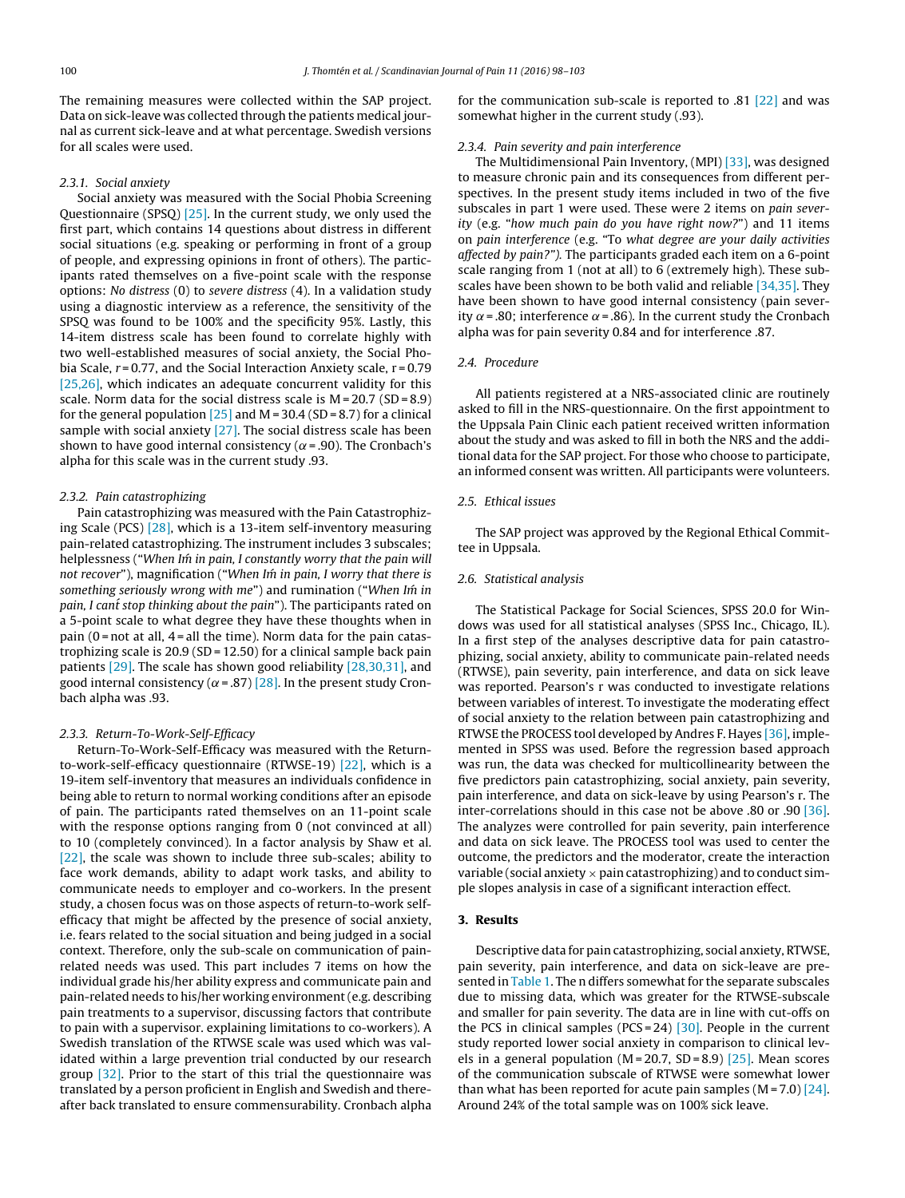The remaining measures were collected within the SAP project. Data on sick-leave was collected through the patients medical journal as current sick-leave and at what percentage. Swedish versions for all scales were used.

#### 2.3.1. Social anxiety

Social anxiety was measured with the Social Phobia Screening Questionnaire (SPSQ) [\[25\].](#page-5-0) In the current study, we only used the first part, which contains 14 questions about distress in different social situations (e.g. speaking or performing in front of a group of people, and expressing opinions in front of others). The participants rated themselves on a five-point scale with the response options: No distress (0) to severe distress (4). In a validation study using a diagnostic interview as a reference, the sensitivity of the SPSQ was found to be 100% and the specificity 95%. Lastly, this 14-item distress scale has been found to correlate highly with two well-established measures of social anxiety, the Social Phobia Scale,  $r = 0.77$ , and the Social Interaction Anxiety scale,  $r = 0.79$ [\[25,26\],](#page-5-0) which indicates an adequate concurrent validity for this scale. Norm data for the social distress scale is  $M = 20.7$  (SD = 8.9) for the general population  $[25]$  and M = 30.4 (SD = 8.7) for a clinical sample with social anxiety [\[27\].](#page-5-0) The social distress scale has been shown to have good internal consistency ( $\alpha$  = .90). The Cronbach's alpha for this scale was in the current study .93.

## 2.3.2. Pain catastrophizing

Pain catastrophizing was measured with the Pain Catastrophizing Scale (PCS) [\[28\],](#page-5-0) which is a 13-item self-inventory measuring pain-related catastrophizing. The instrument includes 3 subscales; helplessness ("When Im in pain, I constantly worry that the pain will not recover"), magnification ("When Im in pain, I worry that there is something seriously wrong with me") and rumination ("When Im in pain, I cant stop thinking about the pain"). The participants rated on a 5-point scale to what degree they have these thoughts when in pain  $(0 = not at all, 4 = all the time)$ . Norm data for the pain catastrophizing scale is  $20.9$  (SD = 12.50) for a clinical sample back pain patients [\[29\].](#page-5-0) The scale has shown good reliability [\[28,30,31\],](#page-5-0) and good internal consistency ( $\alpha$  = .87) [\[28\].](#page-5-0) In the present study Cronbach alpha was .93.

#### 2.3.3. Return-To-Work-Self-Efficacy

Return-To-Work-Self-Efficacy was measured with the Returnto-work-self-efficacy questionnaire (RTWSE-19) [\[22\],](#page-5-0) which is a 19-item self-inventory that measures an individuals confidence in being able to return to normal working conditions after an episode of pain. The participants rated themselves on an 11-point scale with the response options ranging from 0 (not convinced at all) to 10 (completely convinced). In a factor analysis by Shaw et al. [\[22\],](#page-5-0) the scale was shown to include three sub-scales; ability to face work demands, ability to adapt work tasks, and ability to communicate needs to employer and co-workers. In the present study, a chosen focus was on those aspects of return-to-work selfefficacy that might be affected by the presence of social anxiety, i.e. fears related to the social situation and being judged in a social context. Therefore, only the sub-scale on communication of painrelated needs was used. This part includes 7 items on how the individual grade his/her ability express and communicate pain and pain-related needs to his/her working environment(e.g. describing pain treatments to a supervisor, discussing factors that contribute to pain with a supervisor. explaining limitations to co-workers). A Swedish translation of the RTWSE scale was used which was validated within a large prevention trial conducted by our research group [\[32\].](#page-5-0) Prior to the start of this trial the questionnaire was translated by a person proficient in English and Swedish and thereafter back translated to ensure commensurability. Cronbach alpha

for the communication sub-scale is reported to .81 [\[22\]](#page-5-0) and was somewhat higher in the current study (.93).

#### 2.3.4. Pain severity and pain interference

The Multidimensional Pain Inventory, (MPI) [\[33\],](#page-5-0) was designed to measure chronic pain and its consequences from different perspectives. In the present study items included in two of the five subscales in part 1 were used. These were 2 items on pain severity (e.g. "how much pain do you have right now?") and 11 items on pain interference (e.g. "To what degree are your daily activities affected by pain?"). The participants graded each item on a 6-point scale ranging from 1 (not at all) to 6 (extremely high). These subscales have been shown to be both valid and reliable [\[34,35\].](#page-5-0) They have been shown to have good internal consistency (pain severity  $\alpha$  = .80; interference  $\alpha$  = .86). In the current study the Cronbach alpha was for pain severity 0.84 and for interference .87.

#### 2.4. Procedure

All patients registered at a NRS-associated clinic are routinely asked to fill in the NRS-questionnaire. On the first appointment to the Uppsala Pain Clinic each patient received written information about the study and was asked to fill in both the NRS and the additional data for the SAP project. For those who choose to participate, an informed consent was written. All participants were volunteers.

## 2.5. Ethical issues

The SAP project was approved by the Regional Ethical Committee in Uppsala.

## 2.6. Statistical analysis

The Statistical Package for Social Sciences, SPSS 20.0 for Windows was used for all statistical analyses (SPSS Inc., Chicago, IL). In a first step of the analyses descriptive data for pain catastrophizing, social anxiety, ability to communicate pain-related needs (RTWSE), pain severity, pain interference, and data on sick leave was reported. Pearson's r was conducted to investigate relations between variables of interest. To investigate the moderating effect of social anxiety to the relation between pain catastrophizing and RTWSE the PROCESS tool developed by Andres F. Hayes [\[36\],](#page-5-0) implemented in SPSS was used. Before the regression based approach was run, the data was checked for multicollinearity between the five predictors pain catastrophizing, social anxiety, pain severity, pain interference, and data on sick-leave by using Pearson's r. The inter-correlations should in this case not be above .80 or .90 [\[36\].](#page-5-0) The analyzes were controlled for pain severity, pain interference and data on sick leave. The PROCESS tool was used to center the outcome, the predictors and the moderator, create the interaction variable (social anxiety  $\times$  pain catastrophizing) and to conduct simple slopes analysis in case of a significant interaction effect.

# **3. Results**

Descriptive data for pain catastrophizing, social anxiety, RTWSE, pain severity, pain interference, and data on sick-leave are pre-sented in [Table](#page-3-0) 1. The n differs somewhat for the separate subscales due to missing data, which was greater for the RTWSE-subscale and smaller for pain severity. The data are in line with cut-offs on the PCS in clinical samples (PCS = 24)  $[30]$ . People in the current study reported lower social anxiety in comparison to clinical levels in a general population (M = 20.7, SD = 8.9)  $[25]$ . Mean scores of the communication subscale of RTWSE were somewhat lower than what has been reported for acute pain samples  $(M = 7.0)$  [\[24\].](#page-5-0) Around 24% of the total sample was on 100% sick leave.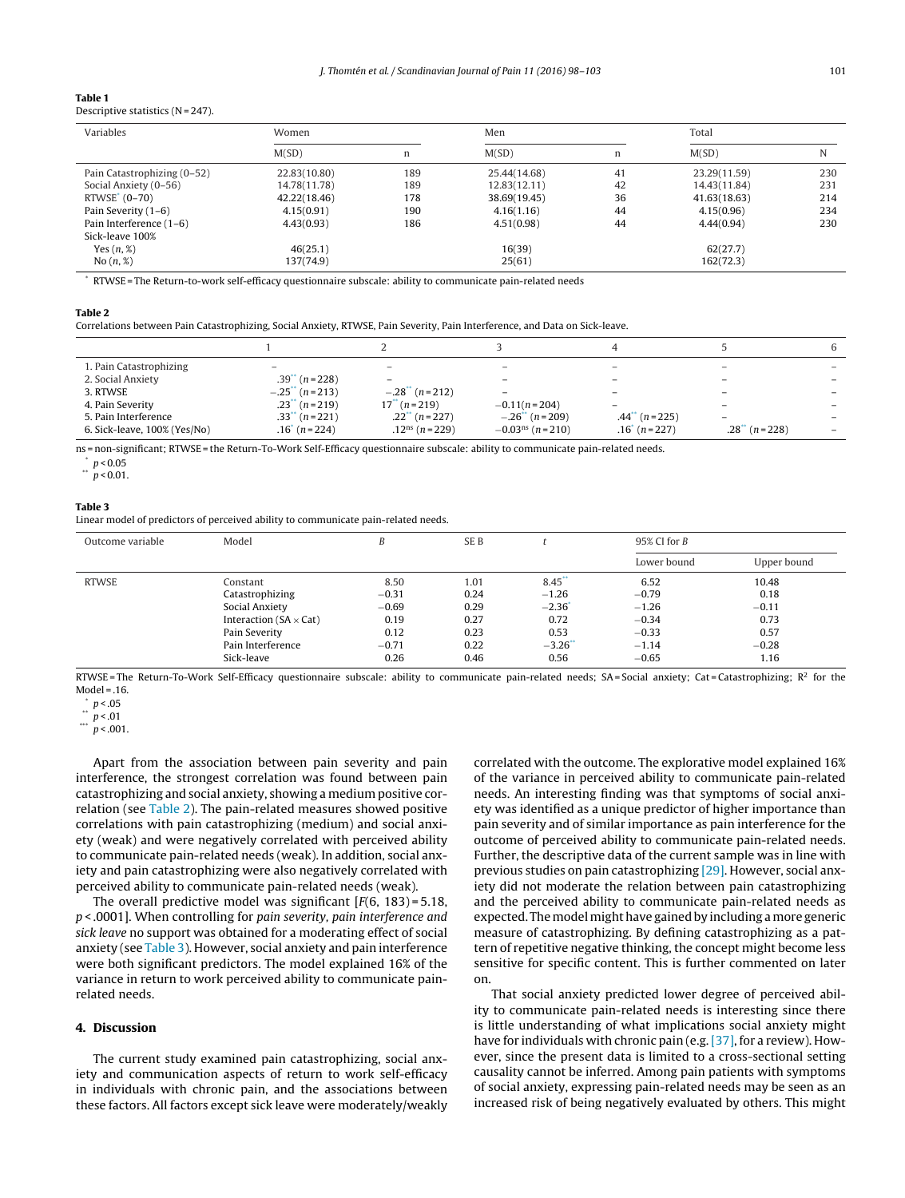<span id="page-3-0"></span>

|--|--|

Descriptive statistics (N = 247).

| Variables                   | Women        |     | Men          |    | Total        |     |
|-----------------------------|--------------|-----|--------------|----|--------------|-----|
|                             | M(SD)        | n   | M(SD)        | n  | M(SD)        | N   |
| Pain Catastrophizing (0-52) | 22.83(10.80) | 189 | 25.44(14.68) | 41 | 23.29(11.59) | 230 |
| Social Anxiety (0-56)       | 14.78(11.78) | 189 | 12.83(12.11) | 42 | 14.43(11.84) | 231 |
| RTWSE (0-70)                | 42.22(18.46) | 178 | 38.69(19.45) | 36 | 41.63(18.63) | 214 |
| Pain Severity (1-6)         | 4.15(0.91)   | 190 | 4.16(1.16)   | 44 | 4.15(0.96)   | 234 |
| Pain Interference (1–6)     | 4.43(0.93)   | 186 | 4.51(0.98)   | 44 | 4.44(0.94)   | 230 |
| Sick-leave 100%             |              |     |              |    |              |     |
| Yes $(n, \mathcal{X})$      | 46(25.1)     |     | 16(39)       |    | 62(27.7)     |     |
| No $(n, \mathcal{X})$       | 137(74.9)    |     | 25(61)       |    | 162(72.3)    |     |
|                             |              |     |              |    |              |     |

\* RTWSE = The Return-to-work self-efficacy questionnaire subscale: ability to communicate pain-related needs

#### **Table 2**

Correlations between Pain Catastrophizing, Social Anxiety, RTWSE, Pain Severity, Pain Interference, and Data on Sick-leave.

|                              |                              |                          |                               |                          |                          | 6                        |
|------------------------------|------------------------------|--------------------------|-------------------------------|--------------------------|--------------------------|--------------------------|
| 1. Pain Catastrophizing      |                              | $\equiv$                 | $\overline{\phantom{m}}$      | $\overline{\phantom{m}}$ | $\overline{\phantom{0}}$ |                          |
| 2. Social Anxiety            | $.39^{**}$ (n = 228)         | $\overline{\phantom{0}}$ | $\overline{\phantom{m}}$      | $\overline{\phantom{m}}$ | -                        |                          |
| 3. RTWSE                     | $-.25$ " (n = 213)           | $-.28$ $(n=212)$         |                               | $\overline{\phantom{m}}$ |                          |                          |
| 4. Pain Severity             | $.23$ <sup>*</sup> $(n=219)$ | $17^{**}$ (n = 219)      | $-0.11(n=204)$                | $\overline{\phantom{0}}$ |                          |                          |
| 5. Pain Interference         | $.33^{**}$ (n = 221)         | $.22^{**}$ (n = 227)     | $-.26$ $(n=209)$              | $.44$ $(n=225)$          |                          |                          |
| 6. Sick-leave, 100% (Yes/No) | $.16^{*}$ (n = 224)          | $.12^{ns}$ (n = 229)     | $-0.03^{\text{ns}}$ (n = 210) | $.16^{*}$ (n = 227)      | $.28$ $(n=228)$          | $\overline{\phantom{0}}$ |
|                              |                              |                          |                               |                          |                          |                          |

ns = non-significant; RTWSE = the Return-To-Work Self-Efficacy questionnaire subscale: ability to communicate pain-related needs.

 $p < 0.05$ 

#### **Table 3**

Linear model of predictors of perceived ability to communicate pain-related needs.

| Outcome variable | Model                           | B       | SE B |                      | $95\%$ CI for B |             |
|------------------|---------------------------------|---------|------|----------------------|-----------------|-------------|
|                  |                                 |         |      |                      | Lower bound     | Upper bound |
| RTWSE            | Constant                        | 8.50    | 1.01 | 8.45                 | 6.52            | 10.48       |
|                  | Catastrophizing                 | $-0.31$ | 0.24 | $-1.26$              | $-0.79$         | 0.18        |
|                  | Social Anxiety                  | $-0.69$ | 0.29 | $-2.36$              | $-1.26$         | $-0.11$     |
|                  | Interaction ( $SA \times Cat$ ) | 0.19    | 0.27 | 0.72                 | $-0.34$         | 0.73        |
|                  | Pain Severity                   | 0.12    | 0.23 | 0.53                 | $-0.33$         | 0.57        |
|                  | Pain Interference               | $-0.71$ | 0.22 | $-3.26$ <sup>*</sup> | $-1.14$         | $-0.28$     |
|                  | Sick-leave                      | 0.26    | 0.46 | 0.56                 | $-0.65$         | 1.16        |

RTWSE = The Return-To-Work Self-Efficacy questionnaire subscale: ability to communicate pain-related needs; SA = Social anxiety; Cat = Catastrophizing;  $R^2$  for the Model = .16.

 $p < .001$ .

Apart from the association between pain severity and pain interference, the strongest correlation was found between pain catastrophizing and social anxiety, showing a medium positive correlation (see Table 2). The pain-related measures showed positive correlations with pain catastrophizing (medium) and social anxiety (weak) and were negatively correlated with perceived ability to communicate pain-related needs (weak). In addition, social anxiety and pain catastrophizing were also negatively correlated with perceived ability to communicate pain-related needs (weak).

The overall predictive model was significant  $[F(6, 183) = 5.18,$ p < .0001]. When controlling for pain severity, pain interference and sick leave no support was obtained for a moderating effect of social anxiety (see Table 3). However, social anxiety and pain interference were both significant predictors. The model explained 16% of the variance in return to work perceived ability to communicate painrelated needs.

#### **4. Discussion**

The current study examined pain catastrophizing, social anxiety and communication aspects of return to work self-efficacy in individuals with chronic pain, and the associations between these factors. All factors except sick leave were moderately/weakly correlated with the outcome. The explorative model explained 16% of the variance in perceived ability to communicate pain-related needs. An interesting finding was that symptoms of social anxiety was identified as a unique predictor of higher importance than pain severity and of similar importance as pain interference for the outcome of perceived ability to communicate pain-related needs. Further, the descriptive data of the current sample was in line with previous studies on pain catastrophizing [\[29\]. H](#page-5-0)owever, social anxiety did not moderate the relation between pain catastrophizing and the perceived ability to communicate pain-related needs as expected. The model might have gained by including a more generic measure of catastrophizing. By defining catastrophizing as a pattern of repetitive negative thinking, the concept might become less sensitive for specific content. This is further commented on later on.

That social anxiety predicted lower degree of perceived ability to communicate pain-related needs is interesting since there is little understanding of what implications social anxiety might have for individuals with chronic pain (e.g.[\[37\], f](#page-5-0)or a review). However, since the present data is limited to a cross-sectional setting causality cannot be inferred. Among pain patients with symptoms of social anxiety, expressing pain-related needs may be seen as an increased risk of being negatively evaluated by others. This might

 $p < 0.01$ 

 $\int_{\infty}^{\infty} p < .05$ 

<sup>\*\*</sup>  $p < 01$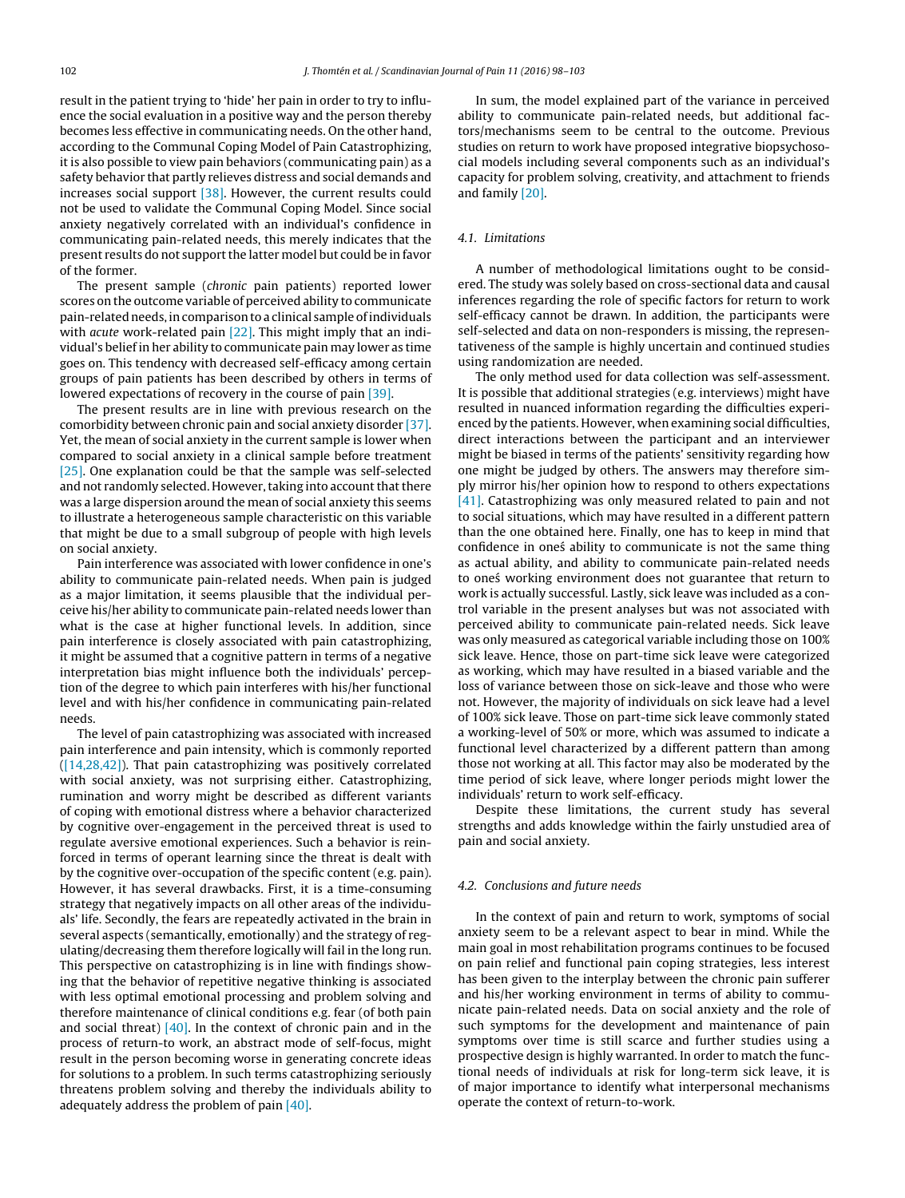result in the patient trying to 'hide' her pain in order to try to influence the social evaluation in a positive way and the person thereby becomes less effective in communicating needs. On the other hand, according to the Communal Coping Model of Pain Catastrophizing, it is also possible to view pain behaviors (communicating pain) as a safety behavior that partly relieves distress and social demands and increases social support [\[38\]. H](#page-5-0)owever, the current results could not be used to validate the Communal Coping Model. Since social anxiety negatively correlated with an individual's confidence in communicating pain-related needs, this merely indicates that the present results do not support the latter model but could be in favor of the former.

The present sample (chronic pain patients) reported lower scores on the outcome variable of perceived ability to communicate pain-related needs, in comparison to a clinical sample of individuals with *acute* work-related pain [\[22\]. T](#page-5-0)his might imply that an individual's belief in her ability to communicate pain may lower as time goes on. This tendency with decreased self-efficacy among certain groups of pain patients has been described by others in terms of lowered expectations of recovery in the course of pain [\[39\].](#page-5-0)

The present results are in line with previous research on the comorbidity between chronic pain and social anxiety disorder [\[37\].](#page-5-0) Yet, the mean of social anxiety in the current sample is lower when compared to social anxiety in a clinical sample before treatment [\[25\].](#page-5-0) One explanation could be that the sample was self-selected and not randomly selected. However, taking into account that there was a large dispersion around the mean of social anxiety this seems to illustrate a heterogeneous sample characteristic on this variable that might be due to a small subgroup of people with high levels on social anxiety.

Pain interference was associated with lower confidence in one's ability to communicate pain-related needs. When pain is judged as a major limitation, it seems plausible that the individual perceive his/her ability to communicate pain-related needs lower than what is the case at higher functional levels. In addition, since pain interference is closely associated with pain catastrophizing, it might be assumed that a cognitive pattern in terms of a negative interpretation bias might influence both the individuals' perception of the degree to which pain interferes with his/her functional level and with his/her confidence in communicating pain-related needs.

The level of pain catastrophizing was associated with increased pain interference and pain intensity, which is commonly reported ([\[14,28,42\]\).](#page-5-0) That pain catastrophizing was positively correlated with social anxiety, was not surprising either. Catastrophizing, rumination and worry might be described as different variants of coping with emotional distress where a behavior characterized by cognitive over-engagement in the perceived threat is used to regulate aversive emotional experiences. Such a behavior is reinforced in terms of operant learning since the threat is dealt with by the cognitive over-occupation of the specific content (e.g. pain). However, it has several drawbacks. First, it is a time-consuming strategy that negatively impacts on all other areas of the individuals' life. Secondly, the fears are repeatedly activated in the brain in several aspects (semantically, emotionally) and the strategy of regulating/decreasing them therefore logically will fail in the long run. This perspective on catastrophizing is in line with findings showing that the behavior of repetitive negative thinking is associated with less optimal emotional processing and problem solving and therefore maintenance of clinical conditions e.g. fear (of both pain and social threat)  $[40]$ . In the context of chronic pain and in the process of return-to work, an abstract mode of self-focus, might result in the person becoming worse in generating concrete ideas for solutions to a problem. In such terms catastrophizing seriously threatens problem solving and thereby the individuals ability to adequately address the problem of pain [\[40\].](#page-5-0)

In sum, the model explained part of the variance in perceived ability to communicate pain-related needs, but additional factors/mechanisms seem to be central to the outcome. Previous studies on return to work have proposed integrative biopsychosocial models including several components such as an individual's capacity for problem solving, creativity, and attachment to friends and family [\[20\].](#page-5-0)

#### 4.1. Limitations

A number of methodological limitations ought to be considered. The study was solely based on cross-sectional data and causal inferences regarding the role of specific factors for return to work self-efficacy cannot be drawn. In addition, the participants were self-selected and data on non-responders is missing, the representativeness of the sample is highly uncertain and continued studies using randomization are needed.

The only method used for data collection was self-assessment. It is possible that additional strategies (e.g. interviews) might have resulted in nuanced information regarding the difficulties experienced by the patients. However, when examining social difficulties, direct interactions between the participant and an interviewer might be biased in terms of the patients' sensitivity regarding how one might be judged by others. The answers may therefore simply mirror his/her opinion how to respond to others expectations [\[41\]. C](#page-5-0)atastrophizing was only measured related to pain and not to social situations, which may have resulted in a different pattern than the one obtained here. Finally, one has to keep in mind that confidence in ones ability to communicate is not the same thing as actual ability, and ability to communicate pain-related needs to oneś working environment does not guarantee that return to work is actually successful. Lastly, sick leave was included as a control variable in the present analyses but was not associated with perceived ability to communicate pain-related needs. Sick leave was only measured as categorical variable including those on 100% sick leave. Hence, those on part-time sick leave were categorized as working, which may have resulted in a biased variable and the loss of variance between those on sick-leave and those who were not. However, the majority of individuals on sick leave had a level of 100% sick leave. Those on part-time sick leave commonly stated a working-level of 50% or more, which was assumed to indicate a functional level characterized by a different pattern than among those not working at all. This factor may also be moderated by the time period of sick leave, where longer periods might lower the individuals' return to work self-efficacy.

Despite these limitations, the current study has several strengths and adds knowledge within the fairly unstudied area of pain and social anxiety.

#### 4.2. Conclusions and future needs

In the context of pain and return to work, symptoms of social anxiety seem to be a relevant aspect to bear in mind. While the main goal in most rehabilitation programs continues to be focused on pain relief and functional pain coping strategies, less interest has been given to the interplay between the chronic pain sufferer and his/her working environment in terms of ability to communicate pain-related needs. Data on social anxiety and the role of such symptoms for the development and maintenance of pain symptoms over time is still scarce and further studies using a prospective design is highly warranted. In order to match the functional needs of individuals at risk for long-term sick leave, it is of major importance to identify what interpersonal mechanisms operate the context of return-to-work.